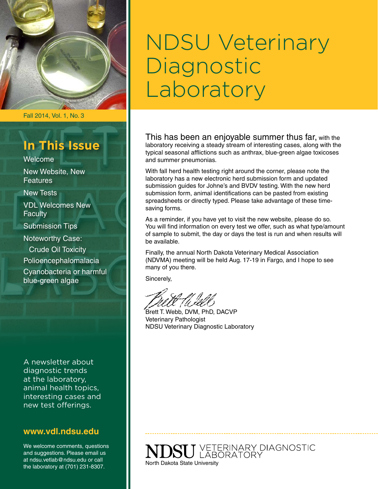

#### Fall 2014, Vol. 1, No. 3

### **In This Issue**

Welcome

New Website, New **Features** 

New Tests

VDL Welcomes New **Faculty** 

Submission Tips

Noteworthy Case:

Crude Oil Toxicity

Polioencephalomalacia

Cyanobacteria or harmful blue-green algae

A newsletter about diagnostic trends at the laboratory, animal health topics, interesting cases and new test offerings.

#### **www.vdl.ndsu.edu**

We welcome comments, questions and suggestions. Please email us at ndsu.vetlab@ndsu.edu or call the laboratory at (701) 231-8307.

# NDSU Veterinary Diagnostic Laboratory

This has been an enjoyable summer thus far, with the laboratory receiving a steady stream of interesting cases, along with the typical seasonal afflictions such as anthrax, blue-green algae toxicoses and summer pneumonias.

With fall herd health testing right around the corner, please note the laboratory has a new electronic herd submission form and updated submission guides for Johne's and BVDV testing. With the new herd submission form, animal identifications can be pasted from existing spreadsheets or directly typed. Please take advantage of these timesaving forms.

As a reminder, if you have yet to visit the new website, please do so. You will find information on every test we offer, such as what type/amount of sample to submit, the day or days the test is run and when results will be available.

Finally, the annual North Dakota Veterinary Medical Association (NDVMA) meeting will be held Aug. 17-19 in Fargo, and I hope to see many of you there.

Sincerely,

Brett T. Webb, DVM, PhD, DACVP Veterinary Pathologist NDSU Veterinary Diagnostic Laboratory

U VETERINARY DIAGNOSTIC<br>U LABORATORY North Dakota State University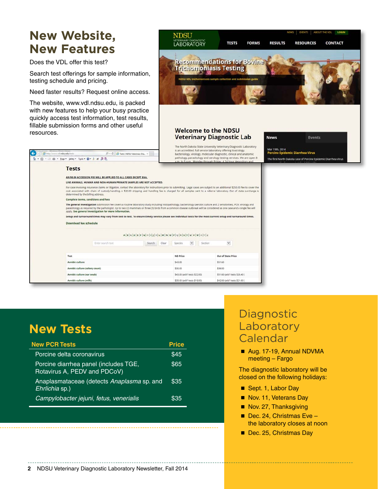### **New Website, New Features**

Does the VDL offer this test?

.<br>www.vdl.**ndsu.edu**/tests

Q + Q + □ 命 + Bage + Safety + Tgols + Q + J + 曲 即現

Tests

 $\bigoplus$  (apply)

Search test offerings for sample information, testing schedule and pricing.

Need faster results? Request online access.

The website, [www.vdl.ndsu.edu,](http://www.vdl.ndsu.edu) is packed with new features to help your busy practice quickly access test information, test results, fillable submission forms and other useful resources.

Complete terms, conditions and fees

Download fee schedule

 $\overline{\rho}$  - C **C** Tests | NDSU Veterinary Dia...  $\times$ 

Setup and turnaround times may vary from test to test. To ensure timely service please see individual tests for the most current setup and turnaround times.

 $\mathtt{A}|\mathtt{B}|\mathtt{C}|\mathtt{D}|\mathtt{E}|\mathtt{F}|\mathtt{G}|\mathtt{H}|\mathtt{I}|j]\mathtt{K}|\mathtt{L}|\mathtt{M}|\mathtt{N}|\mathtt{O}|\mathtt{P}|\mathtt{Q}|\mathtt{R}|\mathtt{S}|\mathtt{T}|\mathtt{U}|\mathtt{V}|\mathtt{W}|\mathtt{X}|\mathtt{Y}|\mathtt{Z}$ 

Search Clear Species

ND Price

\$43.00

\$30.00

\$43.00 (add'l tests \$22.00)

\$35.00 (add'l tests \$18.00

 $\boxed{\smile}$  Section

 $\check{~}$ 

Out of State Price

\$51.60 (add'l tests \$26.40)

ests \$21.60

\$51.60

\$36.00

\$42.00 (add1 to

AN \$8.00 ACCESSION FEE WILL BE APPLIED TO ALL CASES EXCEPT EIAS.

Enter search text



Test

**Aerobic culture** 

Aerobic culture (colony count)

Aerobic culture (ear swab)

Aerobic culture (milk)

## **New Tests**

| <b>New PCR Tests</b>                                                  | <b>Price</b> |
|-----------------------------------------------------------------------|--------------|
| Porcine delta coronavirus                                             | \$45         |
| Porcine diarrhea panel (includes TGE,<br>Rotavirus A, PEDV and PDCoV) | \$65         |
| Anaplasmataceae (detects Anaplasma sp. and<br>Ehrlichia sp.)          | \$35         |
| Campylobacter jejuni, fetus, venerialis                               | \$35         |

### **Diagnostic** Laboratory Calendar

■ Aug. 17-19, Annual NDVMA meeting – Fargo

The diagnostic laboratory will be closed on the following holidays:

- Sept. 1, Labor Day
- Nov. 11, Veterans Day
- Nov. 27, Thanksgiving
- $\blacksquare$  Dec. 24, Christmas Eve the laboratory closes at noon
- Dec. 25, Christmas Day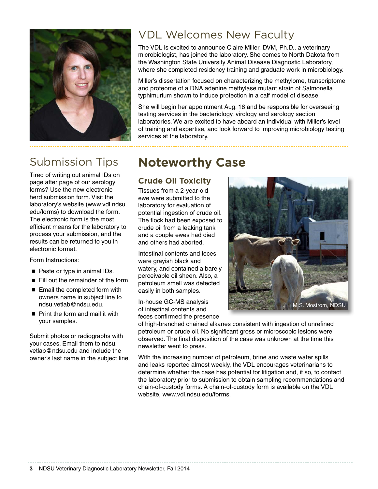

### Submission Tips

Tired of writing out animal IDs on page after page of our serology forms? Use the new electronic herd submission form. Visit the laboratory's website [\(www.vdl.ndsu.](http://www.vdl.ndsu.edu/forms) [edu/forms](http://www.vdl.ndsu.edu/forms)) to download the form. The electronic form is the most efficient means for the laboratory to process your submission, and the results can be returned to you in electronic format.

Form Instructions:

- Paste or type in animal IDs.
- $\blacksquare$  Fill out the remainder of the form.
- $\blacksquare$  Email the completed form with owners name in subject line to [ndsu.vetlab@ndsu.edu](mailto:ndsu.vetlab@.ndsu.edu).
- Print the form and mail it with your samples.

Submit photos or radiographs with your cases. Email them to [ndsu.](mailto:ndsu.vetlab@ndsu.edu) [vetlab@ndsu.edu](mailto:ndsu.vetlab@ndsu.edu) and include the owner's last name in the subject line.

### VDL Welcomes New Faculty

The VDL is excited to announce Claire Miller, DVM, Ph.D., a veterinary microbiologist, has joined the laboratory. She comes to North Dakota from the Washington State University Animal Disease Diagnostic Laboratory, where she completed residency training and graduate work in microbiology.

Miller's dissertation focused on characterizing the methylome, transcriptome and proteome of a DNA adenine methylase mutant strain of Salmonella typhimurium shown to induce protection in a calf model of disease.

She will begin her appointment Aug. 18 and be responsible for overseeing testing services in the bacteriology, virology and serology section laboratories. We are excited to have aboard an individual with Miller's level of training and expertise, and look forward to improving microbiology testing services at the laboratory.

### **Noteworthy Case**

#### **Crude Oil Toxicity**

Tissues from a 2-year-old ewe were submitted to the laboratory for evaluation of potential ingestion of crude oil. The flock had been exposed to crude oil from a leaking tank and a couple ewes had died and others had aborted.

Intestinal contents and feces were grayish black and watery, and contained a barely perceivable oil sheen. Also, a petroleum smell was detected easily in both samples.

In-house GC-MS analysis of intestinal contents and feces confirmed the presence M.S. Mostrom, NDSU

of high-branched chained alkanes consistent with ingestion of unrefined petroleum or crude oil. No significant gross or microscopic lesions were observed. The final disposition of the case was unknown at the time this newsletter went to press.

With the increasing number of petroleum, brine and waste water spills and leaks reported almost weekly, the VDL encourages veterinarians to determine whether the case has potential for litigation and, if so, to contact the laboratory prior to submission to obtain sampling recommendations and chain-of-custody forms. A chain-of-custody form is available on the VDL website, www.vdl.ndsu.edu/forms.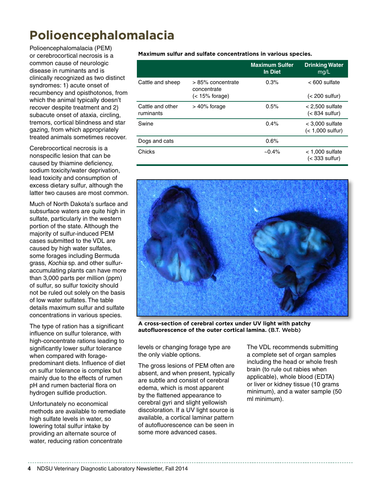### **Polioencephalomalacia**

Polioencephalomalacia (PEM) or cerebrocortical necrosis is a common cause of neurologic disease in ruminants and is clinically recognized as two distinct syndromes: 1) acute onset of recumbency and opisthotonos, from which the animal typically doesn't recover despite treatment and 2) subacute onset of ataxia, circling, tremors, cortical blindness and star gazing, from which appropriately treated animals sometimes recover.

Cerebrocortical necrosis is a nonspecific lesion that can be caused by thiamine deficiency, sodium toxicity/water deprivation, lead toxicity and consumption of excess dietary sulfur, although the latter two causes are most common.

Much of North Dakota's surface and subsurface waters are quite high in sulfate, particularly in the western portion of the state. Although the majority of sulfur-induced PEM cases submitted to the VDL are caused by high water sulfates, some forages including Bermuda grass, *Kochia* sp. and other sulfuraccumulating plants can have more than 3,000 parts per million (ppm) of sulfur, so sulfur toxicity should not be ruled out solely on the basis of low water sulfates. The table details maximum sulfur and sulfate concentrations in various species.

The type of ration has a significant influence on sulfur tolerance, with high-concentrate rations leading to significantly lower sulfur tolerance when compared with foragepredominant diets. Influence of diet on sulfur tolerance is complex but mainly due to the effects of rumen pH and rumen bacterial flora on hydrogen sulfide production.

Unfortunately no economical methods are available to remediate high sulfate levels in water, so lowering total sulfur intake by providing an alternate source of water, reducing ration concentrate

#### **Maximum sulfur and sulfate concentrations in various species.**

|                               |                                  | <b>Maximum Sulfer</b><br>In Diet | <b>Drinking Water</b><br>mg/L           |
|-------------------------------|----------------------------------|----------------------------------|-----------------------------------------|
| Cattle and sheep              | > 85% concentrate<br>concentrate | 0.3%                             | $< 600$ sulfate                         |
|                               | $(< 15\%$ forage)                |                                  | $(< 200$ sulfur)                        |
| Cattle and other<br>ruminants | $> 40\%$ forage                  | 0.5%                             | $< 2,500$ sulfate<br>$(< 834$ sulfur)   |
| Swine                         |                                  | 0.4%                             | $<$ 3.000 sulfate<br>$(< 1,000$ sulfur) |
| Dogs and cats                 |                                  | 0.6%                             |                                         |
| Chicks                        |                                  | $~10.4\%$                        | $<$ 1,000 sulfate<br>$(<$ 333 sulfur)   |



**A cross-section of cerebral cortex under UV light with patchy autofluorescence of the outer cortical lamina.** (B.T. Webb)

levels or changing forage type are the only viable options.

The gross lesions of PEM often are absent, and when present, typically are subtle and consist of cerebral edema, which is most apparent by the flattened appearance to cerebral gyri and slight yellowish discoloration. If a UV light source is available, a cortical laminar pattern of autofluorescence can be seen in some more advanced cases.

The VDL recommends submitting a complete set of organ samples including the head or whole fresh brain (to rule out rabies when applicable), whole blood (EDTA) or liver or kidney tissue (10 grams minimum), and a water sample (50 ml minimum).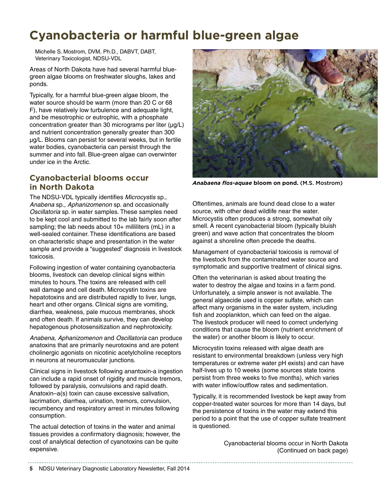### **Cyanobacteria or harmful blue-green algae**

Michelle S. Mostrom, DVM, Ph.D., DABVT, DABT, Veterinary Toxicologist, NDSU-VDL

Areas of North Dakota have had several harmful bluegreen algae blooms on freshwater sloughs, lakes and ponds.

Typically, for a harmful blue-green algae bloom, the water source should be warm (more than 20 C or 68 F), have relatively low turbulence and adequate light, and be mesotrophic or eutrophic, with a phosphate concentration greater than 30 micrograms per liter  $(\mu g/L)$ and nutrient concentration generally greater than 300 µg/L. Blooms can persist for several weeks, but in fertile water bodies, cyanobacteria can persist through the summer and into fall. Blue-green algae can overwinter under ice in the Arctic.

#### **Cyanobacterial blooms occur in North Dakota**

The NDSU-VDL typically identifies *Microcystis* sp., *Anabena* sp., *Aphanizomenon* sp. and occasionally *Oscillatoria* sp. in water samples. These samples need to be kept cool and submitted to the lab fairly soon after sampling; the lab needs about 10+ milliliters (mL) in a well-sealed container. These identifications are based on characteristic shape and presentation in the water sample and provide a "suggested" diagnosis in livestock toxicosis.

Following ingestion of water containing cyanobacteria blooms, livestock can develop clinical signs within minutes to hours. The toxins are released with cell wall damage and cell death. Microcystin toxins are hepatotoxins and are distributed rapidly to liver, lungs, heart and other organs. Clinical signs are vomiting, diarrhea, weakness, pale mucous membranes, shock and often death. If animals survive, they can develop hepatogenous photosensitization and nephrotoxicity.

*Anabena, Aphanizomenon* and *Oscillatoria* can produce anatoxins that are primarily neurotoxins and are potent cholinergic agonists on nicotinic acetylcholine receptors in neurons at neuromuscular junctions.

Clinical signs in livestock following anantoxin-a ingestion can include a rapid onset of rigidity and muscle tremors, followed by paralysis, convulsions and rapid death. Anatoxin–a(s) toxin can cause excessive salivation, lacrimation, diarrhea, urination, tremors, convulsion, recumbency and respiratory arrest in minutes following consumption.

The actual detection of toxins in the water and animal tissues provides a confirmatory diagnosis; however, the cost of analytical detection of cyanotoxins can be quite expensive.



*Anabaena flos-aquae* **bloom on pond.** (M.S. Mostrom)

Oftentimes, animals are found dead close to a water source, with other dead wildlife near the water. Microcystis often produces a strong, somewhat oily smell. A recent cyanobacterial bloom (typically bluish green) and wave action that concentrates the bloom against a shoreline often precede the deaths.

Management of cyanobacterial toxicosis is removal of the livestock from the contaminated water source and symptomatic and supportive treatment of clinical signs.

Often the veterinarian is asked about treating the water to destroy the algae and toxins in a farm pond. Unfortunately, a simple answer is not available. The general algaecide used is copper sulfate, which can affect many organisms in the water system, including fish and zooplankton, which can feed on the algae. The livestock producer will need to correct underlying conditions that cause the bloom (nutrient enrichment of the water) or another bloom is likely to occur.

Microcystin toxins released with algae death are resistant to environmental breakdown (unless very high temperatures or extreme water pH exists) and can have half-lives up to 10 weeks (some sources state toxins persist from three weeks to five months), which varies with water inflow/outflow rates and sedimentation.

Typically, it is recommended livestock be kept away from copper-treated water sources for more than 14 days, but the persistence of toxins in the water may extend this period to a point that the use of copper sulfate treatment is questioned.

> Cyanobacterial blooms occur in North Dakota (Continued on back page)